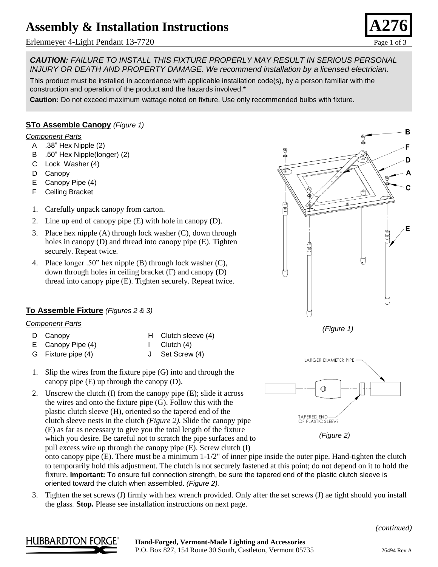# **Assembly & Installation Instructions**

Erlenmeyer 4-Light Pendant 13-7720 **Page 1** of 3



B

*CAUTION: FAILURE TO INSTALL THIS FIXTURE PROPERLY MAY RESULT IN SERIOUS PERSONAL INJURY OR DEATH AND PROPERTY DAMAGE. We recommend installation by a licensed electrician.*

This product must be installed in accordance with applicable installation code(s), by a person familiar with the construction and operation of the product and the hazards involved.\*

**Caution:** Do not exceed maximum wattage noted on fixture. Use only recommended bulbs with fixture.

### **STo Assemble Canopy** *(Figure 1)*

#### *Component Parts*

- A .38" Hex Nipple (2)
- B .50" Hex Nipple(longer) (2)
- C Lock Washer (4)
- D Canopy
- E Canopy Pipe (4)
- F Ceiling Bracket
- 1. Carefully unpack canopy from carton.
- 2. Line up end of canopy pipe (E) with hole in canopy (D).
- 3. Place hex nipple (A) through lock washer (C), down through holes in canopy (D) and thread into canopy pipe (E). Tighten securely. Repeat twice.
- 4. Place longer .50" hex nipple (B) through lock washer (C), down through holes in ceiling bracket (F) and canopy (D) thread into canopy pipe (E). Tighten securely. Repeat twice.

### **To Assemble Fixture** *(Figures 2 & 3)*

#### *Component Parts*

- D Canopy H Clutch sleeve (4)
- E Canopy Pipe (4) I Clutch (4)
- G Fixture pipe (4) J Set Screw (4)
- 1. Slip the wires from the fixture pipe (G) into and through the canopy pipe (E) up through the canopy (D).
- 2. Unscrew the clutch (I) from the canopy pipe (E); slide it across the wires and onto the fixture pipe (G). Follow this with the plastic clutch sleeve (H), oriented so the tapered end of the clutch sleeve nests in the clutch *(Figure 2).* Slide the canopy pipe (E) as far as necessary to give you the total length of the fixture which you desire. Be careful not to scratch the pipe surfaces and to pull excess wire up through the canopy pipe (E). Screw clutch (I)



*(Figure 2)*

onto canopy pipe (E). There must be a minimum 1-1/2" of inner pipe inside the outer pipe. Hand-tighten the clutch to temporarily hold this adjustment. The clutch is not securely fastened at this point; do not depend on it to hold the fixture. **Important:** To ensure full connection strength, be sure the tapered end of the plastic clutch sleeve is oriented toward the clutch when assembled. *(Figure 2).*

3. Tighten the set screws (J) firmly with hex wrench provided. Only after the set screws (J) ae tight should you install the glass*.* **Stop.** Please see installation instructions on next page.





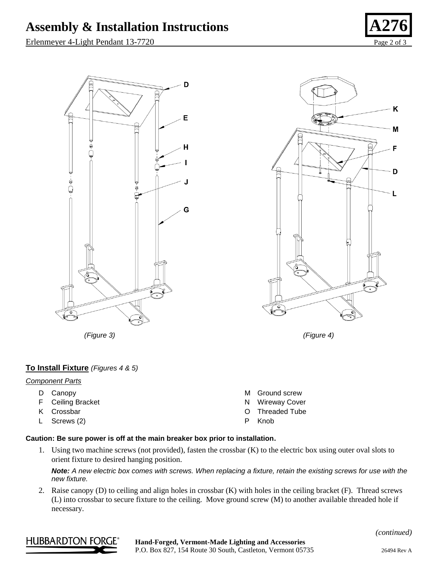# Assembly & Installation Instructions

D

E

G

Erlenmeyer 4-Light Pendant 13-7720 Page 2 of 3





À

*(Figure 3) (Figure 4)*

## **To Install Fixture** *(Figures 4 & 5)*

#### *Component Parts*

D Canopy F Ceiling Bracket K Crossbar L Screws (2) M Ground screw N Wireway Cover O Threaded Tube P Knob

### **Caution: Be sure power is off at the main breaker box prior to installation.**

1. Using two machine screws (not provided), fasten the crossbar (K) to the electric box using outer oval slots to orient fixture to desired hanging position.

*Note: A new electric box comes with screws. When replacing a fixture, retain the existing screws for use with the new fixture.*

2. Raise canopy (D) to ceiling and align holes in crossbar (K) with holes in the ceiling bracket (F). Thread screws (L) into crossbar to secure fixture to the ceiling. Move ground screw (M) to another available threaded hole if necessary.









K

M

F

D

L